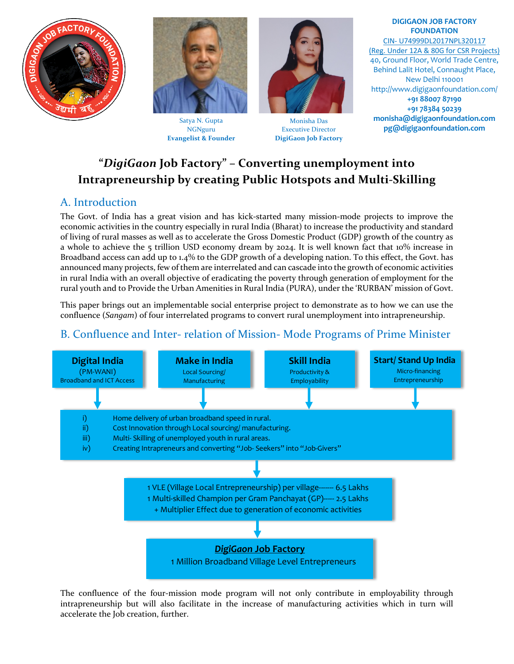



Satya N. Gupta NGNguru **Evangelist & Founder**



Monisha Das Executive Director **DigiGaon Job Factory** 

 **monisha@digigaonfoundation.com DIGIGAON JOB FACTORY FOUNDATION** CIN- U74999DL2017NPL320117 (Reg. Under 12A & 80G for CSR Projects) 40, Ground Floor, World Trade Centre, Behind Lalit Hotel, Connaught Place, New Delhi 110001 http://www.digigaonfoundation.com/ **+91 88007 87190 +91 78384 50239 pg@digigaonfoundation.com**

# **"***DigiGaon* **Job Factory" – Converting unemployment into Intrapreneurship by creating Public Hotspots and Multi-Skilling**

### A. Introduction

The Govt. of India has a great vision and has kick-started many mission-mode projects to improve the economic activities in the country especially in rural India (Bharat) to increase the productivity and standard of living of rural masses as well as to accelerate the Gross Domestic Product (GDP) growth of the country as a whole to achieve the 5 trillion USD economy dream by 2024. It is well known fact that 10% increase in Broadband access can add up to 1.4% to the GDP growth of a developing nation. To this effect, the Govt. has announced many projects, few of them are interrelated and can cascade into the growth of economic activities in rural India with an overall objective of eradicating the poverty through generation of employment for the rural youth and to Provide the Urban Amenities in Rural India (PURA), under the 'RURBAN' mission of Govt.

This paper brings out an implementable social enterprise project to demonstrate as to how we can use the confluence (*Sangam*) of four interrelated programs to convert rural unemployment into intrapreneurship.

## B. Confluence and Inter- relation of Mission- Mode Programs of Prime Minister



The confluence of the four-mission mode program will not only contribute in employability through intrapreneurship but will also facilitate in the increase of manufacturing activities which in turn will accelerate the Job creation, further.